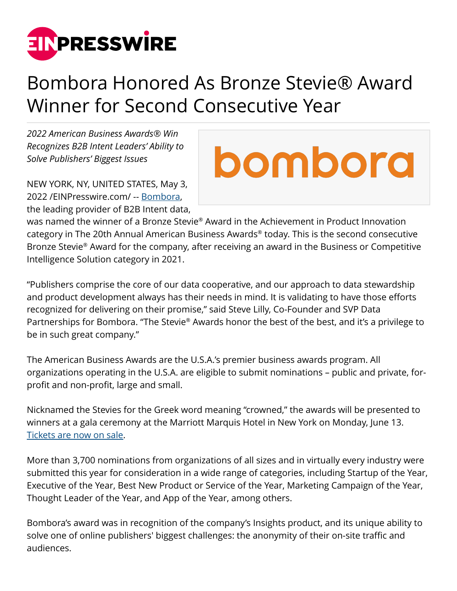

## Bombora Honored As Bronze Stevie® Award Winner for Second Consecutive Year

*2022 American Business Awards® Win Recognizes B2B Intent Leaders' Ability to Solve Publishers' Biggest Issues*

NEW YORK, NY, UNITED STATES, May 3, 2022 /[EINPresswire.com](http://www.einpresswire.com)/ -- [Bombora](http://bombora.com), the leading provider of B2B Intent data,

## bombord

was named the winner of a Bronze Stevie® Award in the Achievement in Product Innovation category in The 20th Annual American Business Awards® today. This is the second consecutive Bronze Stevie® Award for the company, after receiving an award in the Business or Competitive Intelligence Solution category in 2021.

"Publishers comprise the core of our data cooperative, and our approach to data stewardship and product development always has their needs in mind. It is validating to have those efforts recognized for delivering on their promise," said Steve Lilly, Co-Founder and SVP Data Partnerships for Bombora. "The Stevie® Awards honor the best of the best, and it's a privilege to be in such great company."

The American Business Awards are the U.S.A.'s premier business awards program. All organizations operating in the U.S.A. are eligible to submit nominations – public and private, forprofit and non-profit, large and small.

Nicknamed the Stevies for the Greek word meaning "crowned," the awards will be presented to winners at a gala ceremony at the Marriott Marquis Hotel in New York on Monday, June 13. [Tickets are now on sale](http://stevieawards.com/aba/awards-gala-tickets).

More than 3,700 nominations from organizations of all sizes and in virtually every industry were submitted this year for consideration in a wide range of categories, including Startup of the Year, Executive of the Year, Best New Product or Service of the Year, Marketing Campaign of the Year, Thought Leader of the Year, and App of the Year, among others.

Bombora's award was in recognition of the company's Insights product, and its unique ability to solve one of online publishers' biggest challenges: the anonymity of their on-site traffic and audiences.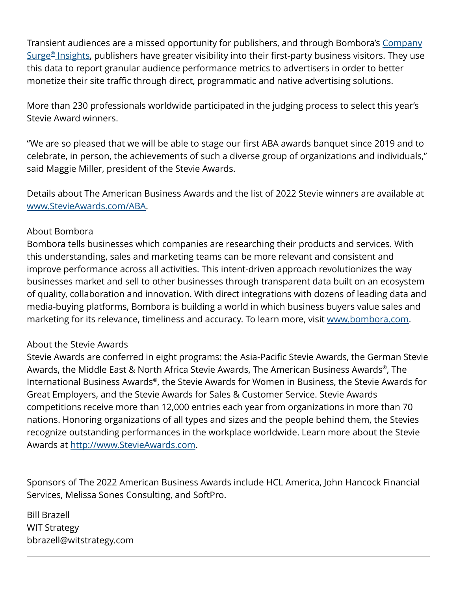Transient audiences are a missed opportunity for publishers, and through Bombora's [Company](https://bombora.com/market-insights/) [Surge](https://bombora.com/market-insights/)[®](https://bombora.com/market-insights/)  [Insights](https://bombora.com/market-insights/), publishers have greater visibility into their first-party business visitors. They use this data to report granular audience performance metrics to advertisers in order to better monetize their site traffic through direct, programmatic and native advertising solutions.

More than 230 professionals worldwide participated in the judging process to select this year's Stevie Award winners.

"We are so pleased that we will be able to stage our first ABA awards banquet since 2019 and to celebrate, in person, the achievements of such a diverse group of organizations and individuals," said Maggie Miller, president of the Stevie Awards.

Details about The American Business Awards and the list of 2022 Stevie winners are available at [www.StevieAwards.com/ABA](http://www.StevieAwards.com/ABA).

## About Bombora

Bombora tells businesses which companies are researching their products and services. With this understanding, sales and marketing teams can be more relevant and consistent and improve performance across all activities. This intent-driven approach revolutionizes the way businesses market and sell to other businesses through transparent data built on an ecosystem of quality, collaboration and innovation. With direct integrations with dozens of leading data and media-buying platforms, Bombora is building a world in which business buyers value sales and marketing for its relevance, timeliness and accuracy. To learn more, visit [www.bombora.com.](http://www.bombora.com)

## About the Stevie Awards

Stevie Awards are conferred in eight programs: the Asia-Pacific Stevie Awards, the German Stevie Awards, the Middle East & North Africa Stevie Awards, The American Business Awards® , The International Business Awards® , the Stevie Awards for Women in Business, the Stevie Awards for Great Employers, and the Stevie Awards for Sales & Customer Service. Stevie Awards competitions receive more than 12,000 entries each year from organizations in more than 70 nations. Honoring organizations of all types and sizes and the people behind them, the Stevies recognize outstanding performances in the workplace worldwide. Learn more about the Stevie Awards at [http://www.StevieAwards.com.](http://www.StevieAwards.com)

Sponsors of The 2022 American Business Awards include HCL America, John Hancock Financial Services, Melissa Sones Consulting, and SoftPro.

Bill Brazell WIT Strategy bbrazell@witstrategy.com